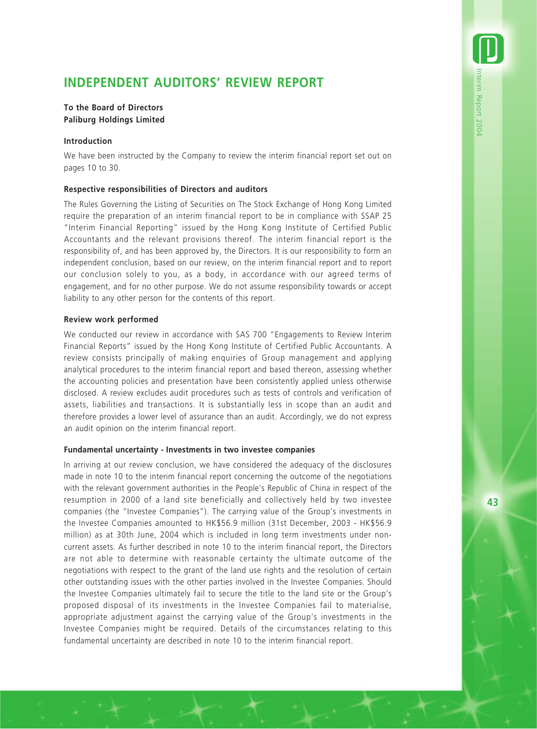# **INDEPENDENT AUDITORS' REVIEW REPORT**

## **To the Board of Directors Paliburg Holdings Limited**

#### **Introduction**

We have been instructed by the Company to review the interim financial report set out on pages 10 to 30.

## **Respective responsibilities of Directors and auditors**

The Rules Governing the Listing of Securities on The Stock Exchange of Hong Kong Limited require the preparation of an interim financial report to be in compliance with SSAP 25 "Interim Financial Reporting" issued by the Hong Kong Institute of Certified Public Accountants and the relevant provisions thereof. The interim financial report is the responsibility of, and has been approved by, the Directors. It is our responsibility to form an independent conclusion, based on our review, on the interim financial report and to report our conclusion solely to you, as a body, in accordance with our agreed terms of engagement, and for no other purpose. We do not assume responsibility towards or accept liability to any other person for the contents of this report.

## **Review work performed**

We conducted our review in accordance with SAS 700 "Engagements to Review Interim Financial Reports" issued by the Hong Kong Institute of Certified Public Accountants. A review consists principally of making enquiries of Group management and applying analytical procedures to the interim financial report and based thereon, assessing whether the accounting policies and presentation have been consistently applied unless otherwise disclosed. A review excludes audit procedures such as tests of controls and verification of assets, liabilities and transactions. It is substantially less in scope than an audit and therefore provides a lower level of assurance than an audit. Accordingly, we do not express an audit opinion on the interim financial report.

#### **Fundamental uncertainty - Investments in two investee companies**

In arriving at our review conclusion, we have considered the adequacy of the disclosures made in note 10 to the interim financial report concerning the outcome of the negotiations with the relevant government authorities in the People's Republic of China in respect of the resumption in 2000 of a land site beneficially and collectively held by two investee companies (the "Investee Companies"). The carrying value of the Group's investments in the Investee Companies amounted to HK\$56.9 million (31st December, 2003 - HK\$56.9 million) as at 30th June, 2004 which is included in long term investments under noncurrent assets. As further described in note 10 to the interim financial report, the Directors are not able to determine with reasonable certainty the ultimate outcome of the negotiations with respect to the grant of the land use rights and the resolution of certain other outstanding issues with the other parties involved in the Investee Companies. Should the Investee Companies ultimately fail to secure the title to the land site or the Group's proposed disposal of its investments in the Investee Companies fail to materialise, appropriate adjustment against the carrying value of the Group's investments in the Investee Companies might be required. Details of the circumstances relating to this fundamental uncertainty are described in note 10 to the interim financial report.